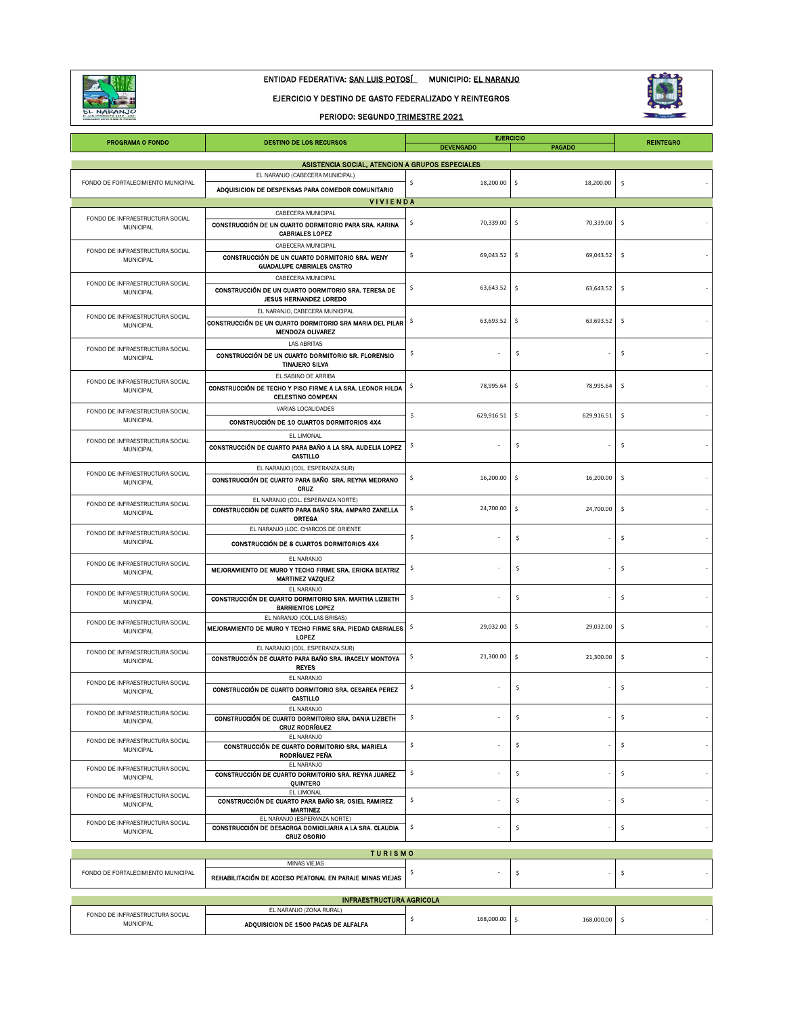

## ENTIDAD FEDERATIVA: SAN LUIS POTOSÍ MUNICIPIO: EL NARANJO

#### EJERCICIO Y DESTINO DE GASTO FEDERALIZADO Y REINTEGROS

### PERIODO: SEGUNDO TRIMESTRE 2021



| <b>PROGRAMA O FONDO</b>                             | <b>DESTINO DE LOS RECURSOS</b>                                                                                        | <b>DEVENGADO</b> | <b>EJERCICIO</b><br><b>PAGADO</b>  | <b>REINTEGRO</b>    |
|-----------------------------------------------------|-----------------------------------------------------------------------------------------------------------------------|------------------|------------------------------------|---------------------|
|                                                     | ASISTENCIA SOCIAL, ATENCION A GRUPOS ESPECIALES                                                                       |                  |                                    |                     |
| FONDO DE FORTALECIMIENTO MUNICIPAL                  | EL NARANJO (CABECERA MUNICIPAL)                                                                                       | \$<br>18,200.00  | \$<br>18,200.00                    | \$                  |
|                                                     | ADQUISICION DE DESPENSAS PARA COMEDOR COMUNITARIO                                                                     |                  |                                    |                     |
|                                                     | <b>VIVIENDA</b>                                                                                                       |                  |                                    |                     |
| FONDO DE INFRAESTRUCTURA SOCIAL<br>MUNICIPAL        | CABECERA MUNICIPAL<br>CONSTRUCCIÓN DE UN CUARTO DORMITORIO PARA SRA. KARINA<br><b>CABRIALES LOPEZ</b>                 | 70,339.00<br>\$  | 70,339.00<br>-\$                   | \$                  |
| FONDO DE INFRAESTRUCTURA SOCIAL<br><b>MUNICIPAL</b> | CABECERA MUNICIPAL<br>CONSTRUCCIÓN DE UN CUARTO DORMITORIO SRA. WENY<br><b>GUADALUPE CABRIALES CASTRO</b>             | \$<br>69,043.52  | \$<br>69,043.52                    | \$                  |
| FONDO DE INFRAESTRUCTURA SOCIAL<br>MUNICIPAL        | CABECERA MUNICIPAL<br>CONSTRUCCIÓN DE UN CUARTO DORMITORIO SRA. TERESA DE<br><b>JESUS HERNANDEZ LOREDO</b>            | \$<br>63,643.52  | \$<br>63,643.52                    | \$                  |
| FONDO DE INFRAESTRUCTURA SOCIAL<br>MUNICIPAL        | EL NARANJO, CABECERA MUNICIPAL<br>CONSTRUCCIÓN DE UN CUARTO DORMITORIO SRA MARIA DEL PILAR<br><b>MENDOZA OLIVAREZ</b> | 63,693.52<br>\$  | \$<br>63,693.52                    | \$                  |
| FONDO DE INFRAESTRUCTURA SOCIAL<br>MUNICIPAL        | <b>LAS ABRITAS</b><br>CONSTRUCCIÓN DE UN CUARTO DORMITORIO SR. FLORENSIO<br><b>TINAJERO SILVA</b>                     | \$               | \$                                 | \$                  |
| FONDO DE INFRAESTRUCTURA SOCIAL<br>MUNICIPAL        | EL SABINO DE ARRIBA<br>CONSTRUCCIÓN DE TECHO Y PISO FIRME A LA SRA. LEONOR HILDA<br><b>CELESTINO COMPEAN</b>          | 78,995.64<br>\$  | \$<br>78,995.64                    | \$                  |
| FONDO DE INFRAESTRUCTURA SOCIAL<br>MUNICIPAL        | VARIAS LOCALIDADES<br>CONSTRUCCIÓN DE 10 CUARTOS DORMITORIOS 4X4                                                      | \$<br>629,916.51 | \$<br>629,916.51                   | \$                  |
| FONDO DE INFRAESTRUCTURA SOCIAL<br>MUNICIPAL        | EL LIMONAL<br>CONSTRUCCIÓN DE CUARTO PARA BAÑO A LA SRA. AUDELIA LOPEZ<br>CASTILLO                                    | \$.              | \$                                 | \$                  |
| FONDO DE INFRAESTRUCTURA SOCIAL<br><b>MUNICIPAL</b> | EL NARANJO (COL. ESPERANZA SUR)<br>CONSTRUCCIÓN DE CUARTO PARA BAÑO SRA. REYNA MEDRANO<br>CRUZ                        | \$<br>16,200.00  | \$<br>16,200.00                    | \$                  |
| FONDO DE INFRAESTRUCTURA SOCIAL<br>MUNICIPAL        | EL NARANJO (COL. ESPERANZA NORTE)<br>CONSTRUCCIÓN DE CUARTO PARA BAÑO SRA. AMPARO ZANELLA<br><b>ORTEGA</b>            | \$<br>24,700.00  | \$<br>24,700.00                    | \$                  |
| FONDO DE INFRAESTRUCTURA SOCIAL<br>MUNICIPAL        | EL NARANJO (LOC. CHARCOS DE ORIENTE<br>CONSTRUCCIÓN DE 8 CUARTOS DORMITORIOS 4X4                                      | \$               | \$                                 | \$                  |
| FONDO DE INFRAESTRUCTURA SOCIAL<br>MUNICIPAL        | EL NARANJO<br>MEJORAMIENTO DE MURO Y TECHO FIRME SRA. ERICKA BEATRIZ<br><b>MARTINEZ VAZQUEZ</b>                       | \$               | \$                                 | \$                  |
| FONDO DE INFRAESTRUCTURA SOCIAL<br>MUNICIPAL        | EL NARANJO<br>CONSTRUCCIÓN DE CUARTO DORMITORIO SRA. MARTHA LIZBETH<br><b>BARRIENTOS LOPEZ</b>                        | \$               | \$                                 | \$                  |
| FONDO DE INFRAESTRUCTURA SOCIAL<br><b>MUNICIPAL</b> | EL NARANJO (COL.LAS BRISAS)<br>MEJORAMIENTO DE MURO Y TECHO FIRME SRA. PIEDAD CABRIALES<br>LOPEZ                      | 29,032.00<br>\$  | 29,032.00<br>-\$                   | \$                  |
| FONDO DE INFRAESTRUCTURA SOCIAL<br>MUNICIPAL        | EL NARANJO (COL. ESPERANZA SUR)<br>CONSTRUCCIÓN DE CUARTO PARA BAÑO SRA. IRACELY MONTOYA<br><b>REYES</b>              | 21,300.00<br>\$  | \$<br>21,300.00                    | \$                  |
| FONDO DE INFRAESTRUCTURA SOCIAL<br>MUNICIPAL        | EL NARANJO<br>CONSTRUCCIÓN DE CUARTO DORMITORIO SRA. CESAREA PEREZ<br>CASTILLO                                        | \$               | \$                                 | \$                  |
| FONDO DE INFRAESTRUCTURA SOCIAL<br><b>MUNICIPAL</b> | EL NARANJO<br>CONSTRUCCIÓN DE CUARTO DORMITORIO SRA. DANIA LIZBETH<br>CRUZ RODRÍGUEZ                                  | \$.              | \$                                 | \$                  |
| FONDO DE INFRAESTRUCTURA SOCIAL<br>MUNICIPAL        | EL NARANJO<br>CONSTRUCCIÓN DE CUARTO DORMITORIO SRA. MARIELA<br>RODRÍGUEZ PEÑA                                        | \$               | \$                                 | \$                  |
| FONDO DE INFRAESTRUCTURA SOCIAL<br>MUNICIPAL        | EL NARANJO<br>CONSTRUCCIÓN DE CUARTO DORMITORIO SRA, REYNA JUAREZ<br>QUINTERO                                         | \$               | \$                                 | \$                  |
| FONDO DE INFRAESTRUCTURA SOCIAL<br>MUNICIPAL        | EL LIMONAL<br>CONSTRUCCIÓN DE CUARTO PARA BAÑO SR. OSIEL RAMIREZ<br><b>MARTINEZ</b>                                   | \$               | \$                                 | \$                  |
| FONDO DE INFRAESTRUCTURA SOCIAL<br>MUNICIPAL        | EL NARANJO (ESPERANZA NORTE)<br>CONSTRUCCIÓN DE DESACRGA DOMICILIARIA A LA SRA, CLAUDIA<br><b>CRUZ OSORIO</b>         | \$               | \$                                 | \$                  |
|                                                     | <b>TURISMO</b>                                                                                                        |                  |                                    |                     |
| FONDO DE FORTALECIMIENTO MUNICIPAL                  | MINAS VIEJAS<br>REHABILITACIÓN DE ACCESO PEATONAL EN PARAJE MINAS VIEJAS                                              | \$               | \$                                 | \$                  |
|                                                     | <b>INFRAESTRUCTURA AGRICOLA</b>                                                                                       |                  |                                    |                     |
| FONDO DE INFRAESTRUCTURA SOCIAL                     | EL NARANJO (ZONA RURAL)                                                                                               |                  |                                    |                     |
| MUNICIPAL                                           | ADQUISICION DE 1500 PACAS DE ALFALFA                                                                                  | \$<br>168,000.00 | $\ddot{\phantom{1}}$<br>168,000.00 | $\ddot{\mathsf{S}}$ |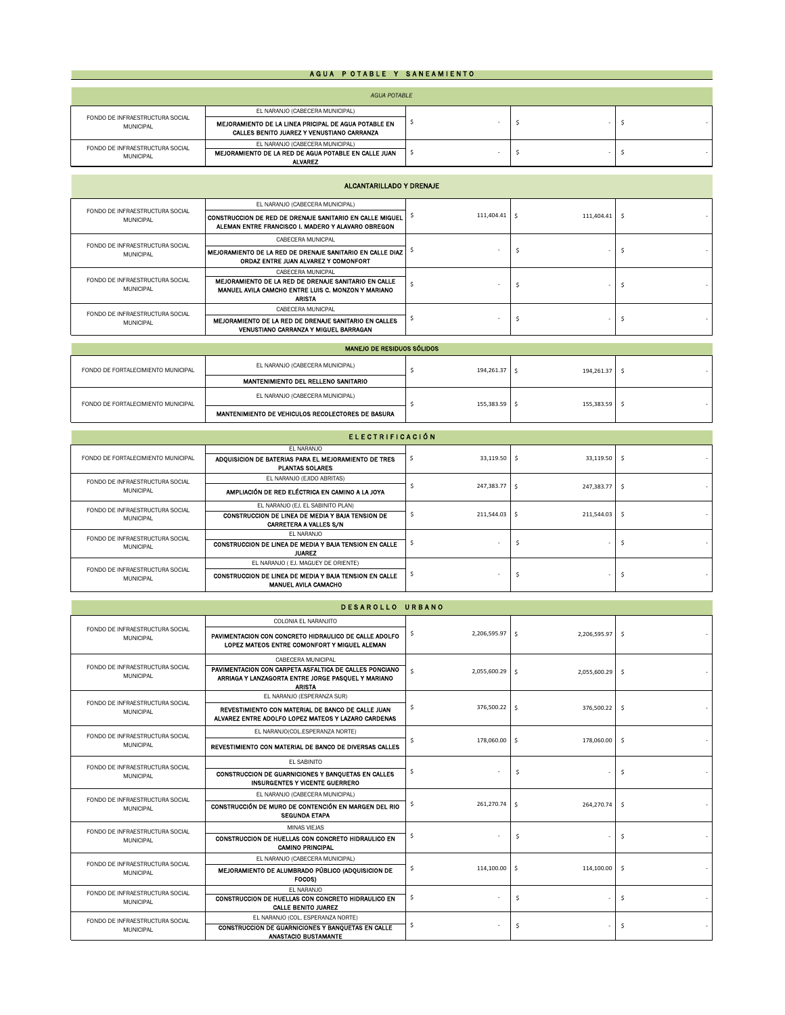### A GUA POTABLE Y SANEAMIENTO

| <b>AGUA POTABLE</b>                                 |                                                                                                    |  |  |  |
|-----------------------------------------------------|----------------------------------------------------------------------------------------------------|--|--|--|
| FONDO DE INFRAESTRUCTURA SOCIAL<br><b>MUNICIPAL</b> | EL NARANJO (CABECERA MUNICIPAL)                                                                    |  |  |  |
|                                                     | MEJORAMIENTO DE LA LINEA PRICIPAL DE AGUA POTABLE EN<br>CALLES BENITO JUAREZ Y VENUSTIANO CARRANZA |  |  |  |
| FONDO DE INFRAESTRUCTURA SOCIAL                     | EL NARANJO (CABECERA MUNICIPAL)                                                                    |  |  |  |
| <b>MUNICIPAL</b>                                    | MEJORAMIENTO DE LA RED DE AGUA POTABLE EN CALLE JUAN<br>ALVAREZ                                    |  |  |  |

| ALCANTARILLADO Y DRENAJE                            |                                                                                                                                                  |            |            |  |
|-----------------------------------------------------|--------------------------------------------------------------------------------------------------------------------------------------------------|------------|------------|--|
|                                                     | EL NARANJO (CABECERA MUNICIPAL)                                                                                                                  |            |            |  |
| FONDO DE INFRAESTRUCTURA SOCIAL<br><b>MUNICIPAL</b> | CONSTRUCCION DE RED DE DRENAJE SANITARIO EN CALLE MIGUEL<br>ALEMAN ENTRE FRANCISCO I. MADERO Y ALAVARO OBREGON                                   | 111,404.41 | 111.404.41 |  |
| FONDO DE INFRAESTRUCTURA SOCIAL                     | CABECERA MUNICPAL                                                                                                                                |            |            |  |
| <b>MUNICIPAL</b>                                    | MEJORAMIENTO DE LA RED DE DRENAJE SANITARIO EN CALLE DIAZ  <br>ORDAZ ENTRE JUAN ALVAREZ Y COMONFORT                                              |            |            |  |
| FONDO DE INFRAESTRUCTURA SOCIAL<br><b>MUNICIPAL</b> | CABECERA MUNICPAL<br>MEJORAMIENTO DE LA RED DE DRENAJE SANITARIO EN CALLE<br>MANUEL AVILA CAMCHO ENTRE LUIS C. MONZON Y MARIANO<br><b>ARISTA</b> |            |            |  |
| FONDO DE INFRAESTRUCTURA SOCIAL<br><b>MUNICIPAL</b> | CABECERA MUNICPAL                                                                                                                                |            |            |  |
|                                                     | MEJORAMIENTO DE LA RED DE DRENAJE SANITARIO EN CALLES<br>VENUSTIANO CARRANZA Y MIGUEL BARRAGAN                                                   |            |            |  |

| <b>MANEJO DE RESIDUOS SOLIDOS</b>  |                                                          |            |            |  |
|------------------------------------|----------------------------------------------------------|------------|------------|--|
| FONDO DE FORTALECIMIENTO MUNICIPAL | EL NARANJO (CABECERA MUNICIPAL)                          | 194,261.37 | 194,261.37 |  |
|                                    | <b>MANTENIMIENTO DEL RELLENO SANITARIO</b>               |            |            |  |
| FONDO DE FORTALECIMIENTO MUNICIPAL | EL NARANJO (CABECERA MUNICIPAL)                          | 155.383.59 | 155.383.59 |  |
|                                    | <b>MANTENIMIENTO DE VEHICULOS RECOLECTORES DE BASURA</b> |            |            |  |

MANEJO DE RESIDUOS SÓLIDOS

| <b>ELECTRIFICACIÓN</b>                              |                                                                                       |                 |                 |              |     |
|-----------------------------------------------------|---------------------------------------------------------------------------------------|-----------------|-----------------|--------------|-----|
|                                                     | EL NARANJO                                                                            |                 |                 |              |     |
| FONDO DE FORTALECIMIENTO MUNICIPAL                  | ADQUISICION DE BATERIAS PARA EL MEJORAMIENTO DE TRES                                  |                 | $33,119.50$ \$  | 33,119.50 \$ |     |
|                                                     | <b>PLANTAS SOLARES</b>                                                                |                 |                 |              |     |
| FONDO DE INFRAESTRUCTURA SOCIAL                     | EL NARANJO (EJIDO ABRITAS)                                                            |                 |                 |              |     |
| <b>MUNICIPAL</b>                                    | AMPLIACIÓN DE RED ELÉCTRICA EN CAMINO A LA JOYA                                       | $247.383.77$ \$ | 247,383.77 \$   |              |     |
| FONDO DE INFRAESTRUCTURA SOCIAL                     | EL NARANJO (EJ. EL SABINITO PLAN)                                                     |                 | $211,544.03$ \$ | 211.544.03   | - Ś |
| <b>MUNICIPAL</b>                                    | CONSTRUCCION DE LINEA DE MEDIA Y BAJA TENSION DE                                      |                 |                 |              |     |
|                                                     | <b>CARRETERA A VALLES S/N</b>                                                         |                 |                 |              |     |
| FONDO DE INFRAESTRUCTURA SOCIAL                     | EL NARANJO                                                                            |                 |                 |              |     |
| <b>MUNICIPAL</b>                                    | CONSTRUCCION DE LINEA DE MEDIA Y BAJA TENSION EN CALLE                                |                 |                 |              | -S  |
|                                                     | <b>JUAREZ</b>                                                                         |                 |                 |              |     |
| FONDO DE INFRAESTRUCTURA SOCIAL<br><b>MUNICIPAL</b> | EL NARANJO (EJ. MAGUEY DE ORIENTE)                                                    |                 |                 |              |     |
|                                                     | CONSTRUCCION DE LINEA DE MEDIA Y BAJA TENSION EN CALLE<br><b>MANUEL AVILA CAMACHO</b> |                 |                 |              | .s  |

|                                                     | DESAROLLO URBANO                                                                                                                                    |    |               |                    |              |                     |  |
|-----------------------------------------------------|-----------------------------------------------------------------------------------------------------------------------------------------------------|----|---------------|--------------------|--------------|---------------------|--|
|                                                     | COLONIA EL NARANJITO                                                                                                                                |    |               |                    |              |                     |  |
| FONDO DE INFRAESTRUCTURA SOCIAL<br><b>MUNICIPAL</b> | PAVIMENTACION CON CONCRETO HIDRAULICO DE CALLE ADOLFO<br>LOPEZ MATEOS ENTRE COMONFORT Y MIGUEL ALEMAN                                               | \$ | 2,206,595.97  | $\mathsf{S}$       | 2,206,595.97 | s.                  |  |
| FONDO DE INFRAESTRUCTURA SOCIAL<br><b>MUNICIPAL</b> | CABECERA MUNICIPAL<br>PAVIMENTACION CON CARPETA ASFALTICA DE CALLES PONCIANO<br>ARRIAGA Y LANZAGORTA ENTRE JORGE PASQUEL Y MARIANO<br><b>ARISTA</b> | \$ | 2,055,600.29  | $\mathsf{S}$       | 2,055,600.29 | -\$                 |  |
| FONDO DE INFRAESTRUCTURA SOCIAL                     | EL NARANJO (ESPERANZA SUR)                                                                                                                          |    |               |                    |              |                     |  |
| <b>MUNICIPAL</b>                                    | REVESTIMIENTO CON MATERIAL DE BANCO DE CALLE JUAN<br>ALVAREZ ENTRE ADOLFO LOPEZ MATEOS Y LAZARO CARDENAS                                            | \$ | 376,500.22 \$ |                    | 376,500.22   | \$                  |  |
| FONDO DE INFRAESTRUCTURA SOCIAL                     | EL NARANJO(COL.ESPERANZA NORTE)                                                                                                                     |    | 178,060,00    | Ŝ.<br>178,060,00   |              |                     |  |
| <b>MUNICIPAL</b>                                    | REVESTIMIENTO CON MATERIAL DE BANCO DE DIVERSAS CALLES                                                                                              | \$ |               |                    | Ŝ.           |                     |  |
| FONDO DE INFRAESTRUCTURA SOCIAL                     | EL SABINITO                                                                                                                                         | \$ |               |                    |              |                     |  |
| <b>MUNICIPAL</b>                                    | CONSTRUCCION DE GUARNICIONES Y BANQUETAS EN CALLES<br><b>INSURGENTES Y VICENTE GUERRERO</b>                                                         |    | \$.           |                    | \$           |                     |  |
| FONDO DE INFRAESTRUCTURA SOCIAL                     | EL NARANJO (CABECERA MUNICIPAL)                                                                                                                     |    |               |                    |              |                     |  |
| <b>MUNICIPAL</b>                                    | CONSTRUCCIÓN DE MURO DE CONTENCIÓN EN MARGEN DEL RIO<br><b>SEGUNDA ETAPA</b>                                                                        | Ś  | 261,270.74    | $\mathsf{\hat{S}}$ | 264,270.74   | $\ddot{\mathsf{s}}$ |  |
| FONDO DE INFRAESTRUCTURA SOCIAL                     | <b>MINAS VIEJAS</b>                                                                                                                                 |    |               | \$                 |              |                     |  |
| <b>MUNICIPAL</b>                                    | CONSTRUCCION DE HUELLAS CON CONCRETO HIDRAULICO EN<br><b>CAMINO PRINCIPAL</b>                                                                       | Ś  |               |                    |              | \$                  |  |
| FONDO DE INFRAESTRUCTURA SOCIAL                     | EL NARANJO (CABECERA MUNICIPAL)                                                                                                                     |    |               |                    |              |                     |  |
| <b>MUNICIPAL</b>                                    | MEJORAMIENTO DE ALUMBRADO PÚBLICO (ADQUISICION DE<br>FOCOS)                                                                                         | \$ | 114,100.00    | s.                 | 114,100.00   | \$                  |  |
| FONDO DE INFRAESTRUCTURA SOCIAL                     | EL NARANJO                                                                                                                                          |    |               |                    |              |                     |  |
| <b>MUNICIPAL</b>                                    | CONSTRUCCION DE HUELLAS CON CONCRETO HIDRAULICO EN<br><b>CALLE BENITO JUAREZ</b>                                                                    | Ś  |               | \$                 |              | \$                  |  |
| FONDO DE INFRAESTRUCTURA SOCIAL                     | EL NARANJO (COL. ESPERANZA NORTE)                                                                                                                   |    |               |                    |              |                     |  |
| <b>MUNICIPAL</b>                                    | CONSTRUCCION DE GUARNICIONES Y BANQUETAS EN CALLE<br>ANASTACIO BUSTAMANTE                                                                           | \$ |               | Ś                  | \$           |                     |  |